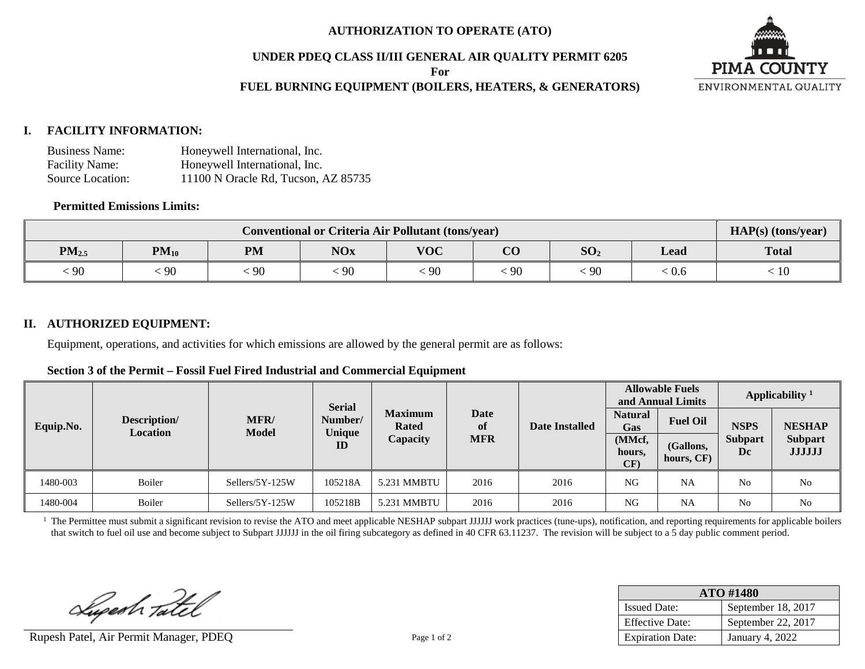#### **AUTHORIZATION TO OPERATE (ATO)**

#### **UNDER PDEQ CLASS II/III GENERAL AIR QUALITY PERMIT 6205**

**For**

# **FUEL BURNING EQUIPMENT (BOILERS, HEATERS, & GENERATORS)**



### **I. FACILITY INFORMATION:**

| <b>Business Name:</b> | Honeywell International, Inc.       |
|-----------------------|-------------------------------------|
| <b>Facility Name:</b> | Honeywell International, Inc.       |
| Source Location:      | 11100 N Oracle Rd, Tucson, AZ 85735 |

## **Permitted Emissions Limits:**

| <b>Conventional or Criteria Air Pollutant (tons/year)</b> |           |           |            |            |                         |                 |       | $HAP(s)$ (tons/year) |
|-----------------------------------------------------------|-----------|-----------|------------|------------|-------------------------|-----------------|-------|----------------------|
| $PM_{2.5}$                                                | $PM_{10}$ | <b>PM</b> | <b>NOx</b> | <b>VOC</b> | $\overline{\mathbf{C}}$ | SO <sub>2</sub> | Lead  | <b>Total</b>         |
| $\frac{1}{2}90$                                           | 90        | 90        | 90         | 90         | 90                      | 90              | : 0.6 | 10                   |

### **II. AUTHORIZED EQUIPMENT:**

Equipment, operations, and activities for which emissions are allowed by the general permit are as follows:

| Section 3 of the Permit – Fossil Fuel Fired Industrial and Commercial Equipment |
|---------------------------------------------------------------------------------|
|---------------------------------------------------------------------------------|

|           |                                 |                             | <b>Serial</b>     |                                |                   |                       | <b>Allowable Fuels</b><br>and Annual Limits |                         | Applicability $1$    |                                 |
|-----------|---------------------------------|-----------------------------|-------------------|--------------------------------|-------------------|-----------------------|---------------------------------------------|-------------------------|----------------------|---------------------------------|
| Equip.No. | Description/<br><b>Location</b> | <b>MFR/</b><br><b>Model</b> | Number/<br>Unique | <b>Maximum</b><br><b>Rated</b> | <b>Date</b><br>of | <b>Date Installed</b> | <b>Natural</b><br>Gas                       | <b>Fuel Oil</b>         | <b>NSPS</b>          | <b>NESHAP</b>                   |
|           |                                 |                             | ID                | Capacity                       | <b>MFR</b>        |                       | (MMcf,<br>hours,<br>CF)                     | (Gallons,<br>hours, CF) | <b>Subpart</b><br>Dc | <b>Subpart</b><br><b>JJJJJJ</b> |
| 1480-003  | Boiler                          | Sellers/5Y-125W             | 105218A           | 5.231 MMBTU                    | 2016              | 2016                  | <b>NG</b>                                   | <b>NA</b>               | N <sub>0</sub>       | No                              |
| 1480-004  | Boiler                          | Sellers/5Y-125W             | 105218B           | 5.231 MMBTU                    | 2016              | 2016                  | <b>NG</b>                                   | <b>NA</b>               | N <sub>0</sub>       | N <sub>o</sub>                  |

<sup>1</sup> The Permittee must submit a significant revision to revise the ATO and meet applicable NESHAP subpart JJJJJJ work practices (tune-ups), notification, and reporting requirements for applicable boilers that switch to fuel oil use and become subject to Subpart JJJJJJ in the oil firing subcategory as defined in 40 CFR 63.11237. The revision will be subject to a 5 day public comment period.

Superh Tatel

Rupesh Patel, Air Permit Manager, PDEQ Page 1 of 2

| ATO #1480               |                    |  |  |  |
|-------------------------|--------------------|--|--|--|
| <b>Issued Date:</b>     | September 18, 2017 |  |  |  |
| <b>Effective Date:</b>  | September 22, 2017 |  |  |  |
| <b>Expiration Date:</b> | January 4, 2022    |  |  |  |